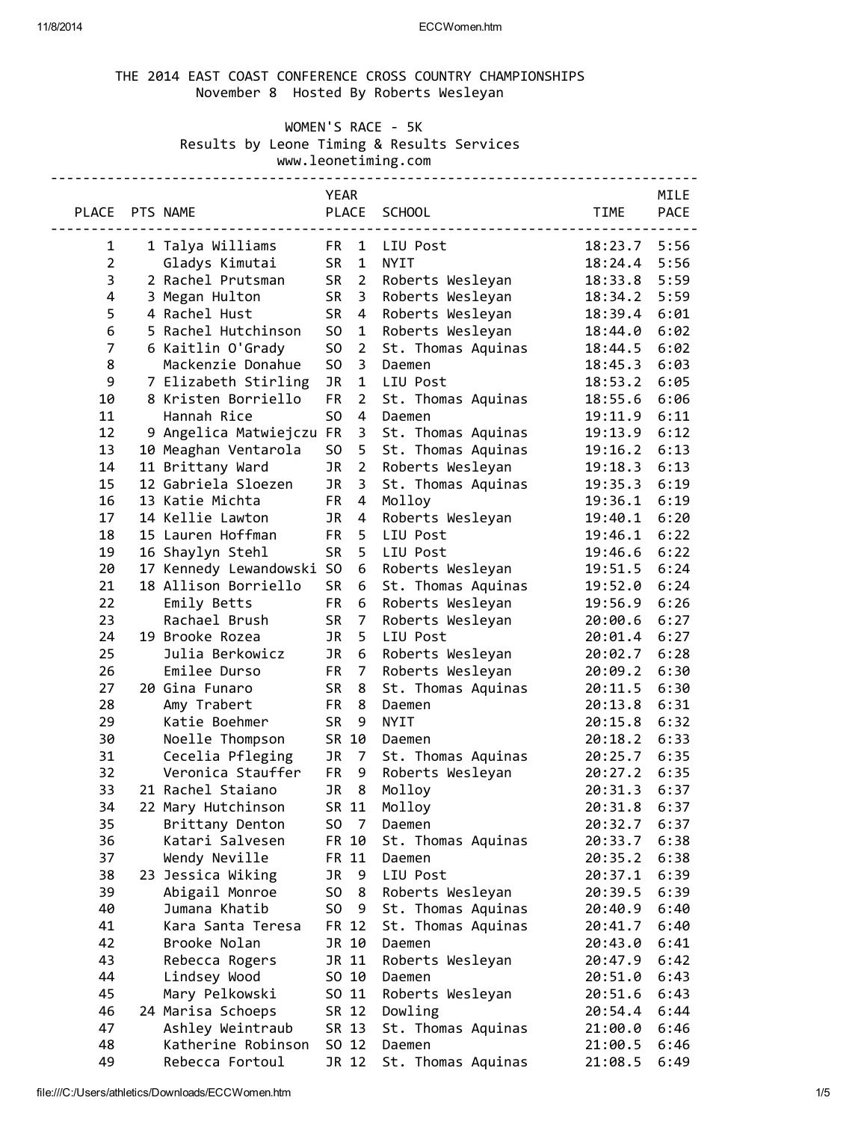## 11/8/2014 ECCWomen.htm

# THE 2014 EAST COAST CONFERENCE CROSS COUNTRY CHAMPIONSHIPS November 8 Hosted By Roberts Wesleyan

# WOMEN'S RACE - 5K Results by Leone Timing & Results Services www.leonetiming.com

|                         |                           | <b>YEAR</b>    |                 |                    |              | MILE        |
|-------------------------|---------------------------|----------------|-----------------|--------------------|--------------|-------------|
| PLACE PTS NAME          |                           |                |                 | PLACE SCHOOL       | <b>TIME</b>  | <b>PACE</b> |
|                         |                           |                | ---------       |                    |              |             |
| 1                       | 1 Talya Williams          |                | FR 1            | LIU Post           | 18:23.7      | 5:56        |
| $\overline{2}$          | Gladys Kimutai            |                | SR <sub>1</sub> | NYIT               | 18:24.4      | 5:56        |
| 3                       | 2 Rachel Prutsman         | <b>SR</b>      | $\overline{2}$  | Roberts Wesleyan   | 18:33.8      | 5:59        |
| $\overline{\mathbf{4}}$ | 3 Megan Hulton            | SR             | $\overline{3}$  | Roberts Wesleyan   | 18:34.2      | 5:59        |
| 5                       | 4 Rachel Hust             | <b>SR</b>      | $\overline{4}$  | Roberts Wesleyan   | 18:39.4      | 6:01        |
| 6                       | 5 Rachel Hutchinson       | S <sub>0</sub> | $\mathbf{1}$    | Roberts Wesleyan   | 18:44.0      | 6:02        |
| $\overline{7}$          | 6 Kaitlin O'Grady         | S <sub>O</sub> | $\overline{2}$  | St. Thomas Aquinas | 18:44.5      | 6:02        |
| 8                       | Mackenzie Donahue         | S <sub>O</sub> | 3               | Daemen             | 18:45.3      | 6:03        |
| 9                       | 7 Elizabeth Stirling      | JR             | $\mathbf{1}$    | LIU Post           | 18:53.2      | 6:05        |
| 10                      | 8 Kristen Borriello       | <b>FR</b>      | $\overline{2}$  | St. Thomas Aquinas | 18:55.6      | 6:06        |
| 11                      | Hannah Rice               | S <sub>O</sub> | $\overline{4}$  | Daemen             | 19:11.9      | 6:11        |
| 12                      | 9 Angelica Matwiejczu FR  |                | 3               | St. Thomas Aquinas | 19:13.9      | 6:12        |
| 13                      | 10 Meaghan Ventarola      | S <sub>O</sub> | 5               | St. Thomas Aquinas | 19:16.2      | 6:13        |
| 14                      | 11 Brittany Ward          | JR             | $\overline{2}$  | Roberts Wesleyan   | 19:18.3      | 6:13        |
| 15                      | 12 Gabriela Sloezen       | JR             | 3               | St. Thomas Aquinas | 19:35.3      | 6:19        |
| 16                      | 13 Katie Michta           | FR             | 4               | Molloy             | 19:36.1      | 6:19        |
| 17                      | 14 Kellie Lawton          | <b>JR</b>      | $\overline{4}$  | Roberts Wesleyan   | 19:40.1      | 6:20        |
| 18                      | 15 Lauren Hoffman         | <b>FR</b>      | 5               | LIU Post           | 19:46.1      | 6:22        |
| 19                      | 16 Shaylyn Stehl          | <b>SR</b>      | 5               | LIU Post           | 19:46.6      | 6:22        |
| 20                      | 17 Kennedy Lewandowski SO |                | 6               | Roberts Wesleyan   | 19:51.5      | 6:24        |
| 21                      | 18 Allison Borriello      | <b>SR</b>      | 6               | St. Thomas Aquinas | 19:52.0      | 6:24        |
| 22                      | Emily Betts               | FR             | 6               | Roberts Wesleyan   | 19:56.9      | 6:26        |
| 23                      | Rachael Brush             | SR             | $\overline{7}$  | Roberts Wesleyan   | 20:00.6      | 6:27        |
| 24                      | 19 Brooke Rozea           | JR             | 5               | LIU Post           | 20:01.4      | 6:27        |
| 25                      | Julia Berkowicz           | JR             | 6               | Roberts Wesleyan   | 20:02.7      | 6:28        |
| 26                      | Emilee Durso              | <b>FR</b>      | $\overline{7}$  | Roberts Wesleyan   | 20:09.2      | 6:30        |
| 27                      | 20 Gina Funaro            | SR             | $\bf 8$         | St. Thomas Aquinas | 20:11.5      | 6:30        |
| 28                      | Amy Trabert               | <b>FR</b>      | 8               | Daemen             | 20:13.8      | 6:31        |
| 29                      | Katie Boehmer             | <b>SR</b>      | 9               | <b>NYIT</b>        | 20:15.8      | 6:32        |
| 30                      | Noelle Thompson           |                | SR 10           | Daemen             | 20:18.2      | 6:33        |
| 31                      | Cecelia Pfleging          | JR             | $\overline{7}$  | St. Thomas Aquinas | 20:25.7      | 6:35        |
| 32                      | Veronica Stauffer         |                | FR <sub>9</sub> | Roberts Wesleyan   | 20:27.2 6:35 |             |
| 33                      | 21 Rachel Staiano         |                | JR <sub>8</sub> | Molloy             | 20:31.3      | 6:37        |
| 34                      | 22 Mary Hutchinson        |                |                 | SR 11 Molloy       | 20:31.8 6:37 |             |
| 35                      | Brittany Denton           | SO.            | $\overline{7}$  | Daemen             | 20:32.7      | 6:37        |
| 36                      | Katari Salvesen           |                | FR 10           | St. Thomas Aquinas | 20:33.7      | 6:38        |
| 37                      | Wendy Neville             |                | FR 11           | Daemen             | 20:35.2      | 6:38        |
| 38                      | 23 Jessica Wiking         | JR             | -9              | LIU Post           | 20:37.1      | 6:39        |
| 39                      | Abigail Monroe            | SO             | 8               | Roberts Wesleyan   | 20:39.5      | 6:39        |
| 40                      | Jumana Khatib             | S <sub>0</sub> | - 9             | St. Thomas Aquinas | 20:40.9      | 6:40        |
| 41                      | Kara Santa Teresa         |                | FR 12           | St. Thomas Aquinas | 20:41.7      | 6:40        |
| 42                      | Brooke Nolan              |                | JR 10           | Daemen             | 20:43.0      | 6:41        |
| 43                      | Rebecca Rogers            |                | JR 11           | Roberts Wesleyan   | 20:47.9      | 6:42        |
| 44                      | Lindsey Wood              |                | SO 10           | Daemen             | 20:51.0      | 6:43        |
| 45                      | Mary Pelkowski            |                | SO 11           | Roberts Wesleyan   | 20:51.6      | 6:43        |
| 46                      | 24 Marisa Schoeps         |                | SR 12           | Dowling            | 20:54.4      | 6:44        |
| 47                      | Ashley Weintraub          |                | SR 13           | St. Thomas Aquinas | 21:00.0      | 6:46        |
| 48                      | Katherine Robinson        |                | SO 12           | Daemen             | 21:00.5      | 6:46        |
| 49                      | Rebecca Fortoul           |                | JR 12           | St. Thomas Aquinas | 21:08.5      | 6:49        |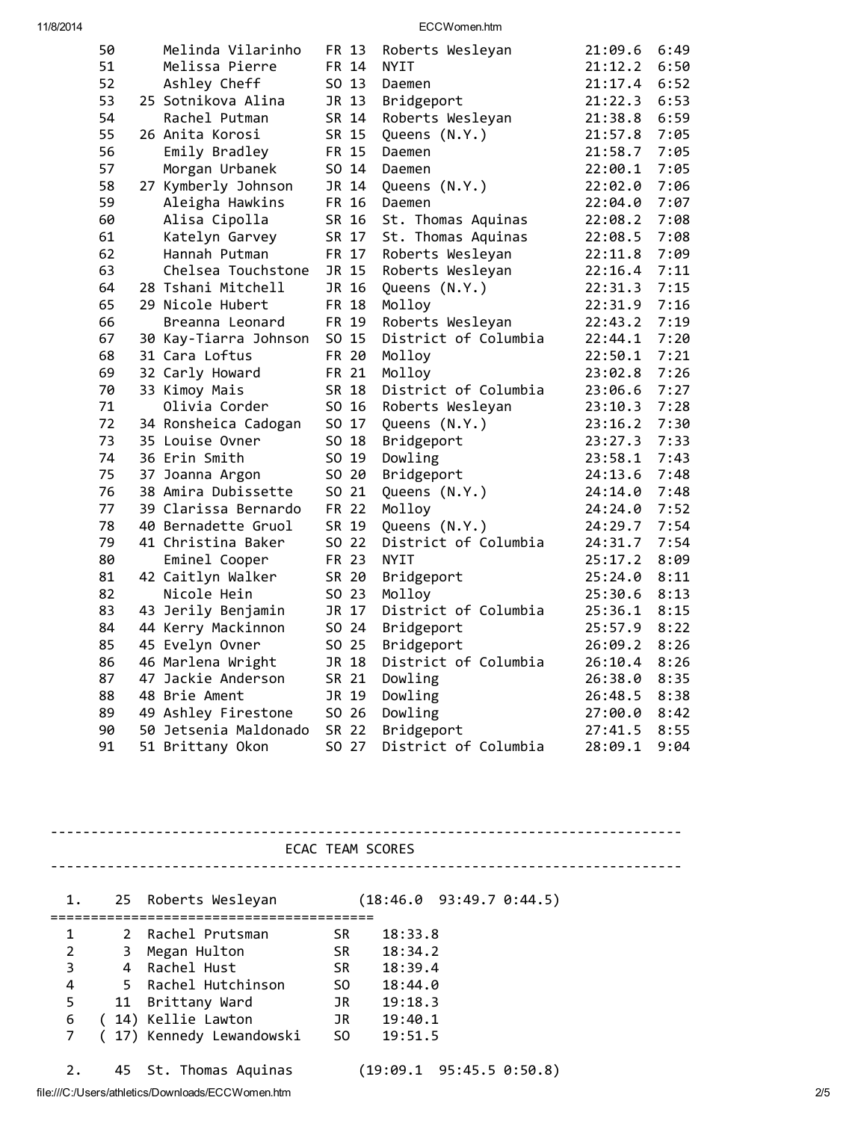11/8/2014 ECCWomen.htm

| 50 | Melinda Vilarinho     | FR 13 | Roberts Wesleyan     | 21:09.6 | 6:49 |
|----|-----------------------|-------|----------------------|---------|------|
| 51 | Melissa Pierre        | FR 14 | <b>NYIT</b>          | 21:12.2 | 6:50 |
| 52 | Ashley Cheff          | SO 13 | Daemen               | 21:17.4 | 6:52 |
| 53 | 25 Sotnikova Alina    | JR 13 | Bridgeport           | 21:22.3 | 6:53 |
| 54 | Rachel Putman         | SR 14 | Roberts Wesleyan     | 21:38.8 | 6:59 |
| 55 | 26 Anita Korosi       | SR 15 | Queens (N.Y.)        | 21:57.8 | 7:05 |
| 56 | Emily Bradley         | FR 15 | Daemen               | 21:58.7 | 7:05 |
| 57 | Morgan Urbanek        | SO 14 | Daemen               | 22:00.1 | 7:05 |
| 58 | 27 Kymberly Johnson   | JR 14 | Queens (N.Y.)        | 22:02.0 | 7:06 |
| 59 | Aleigha Hawkins       | FR 16 | Daemen               | 22:04.0 | 7:07 |
| 60 | Alisa Cipolla         | SR 16 | St. Thomas Aquinas   | 22:08.2 | 7:08 |
| 61 | Katelyn Garvey        | SR 17 | St. Thomas Aquinas   | 22:08.5 | 7:08 |
| 62 | Hannah Putman         | FR 17 | Roberts Wesleyan     | 22:11.8 | 7:09 |
| 63 | Chelsea Touchstone    | JR 15 | Roberts Wesleyan     | 22:16.4 | 7:11 |
| 64 | 28 Tshani Mitchell    | JR 16 | Queens (N.Y.)        | 22:31.3 | 7:15 |
| 65 | 29 Nicole Hubert      | FR 18 | Molloy               | 22:31.9 | 7:16 |
| 66 | Breanna Leonard       | FR 19 | Roberts Wesleyan     | 22:43.2 | 7:19 |
| 67 | 30 Kay-Tiarra Johnson | SO 15 | District of Columbia | 22:44.1 | 7:20 |
| 68 | 31 Cara Loftus        | FR 20 | Molloy               | 22:50.1 | 7:21 |
| 69 | 32 Carly Howard       | FR 21 | Molloy               | 23:02.8 | 7:26 |
| 70 | 33 Kimoy Mais         | SR 18 | District of Columbia | 23:06.6 | 7:27 |
| 71 | Olivia Corder         | SO 16 | Roberts Wesleyan     | 23:10.3 | 7:28 |
| 72 | 34 Ronsheica Cadogan  | SO 17 | Queens (N.Y.)        | 23:16.2 | 7:30 |
| 73 | 35 Louise Ovner       | SO 18 | Bridgeport           | 23:27.3 | 7:33 |
| 74 | 36 Erin Smith         | SO 19 | Dowling              | 23:58.1 | 7:43 |
| 75 | 37 Joanna Argon       | SO 20 | Bridgeport           | 24:13.6 | 7:48 |
| 76 | 38 Amira Dubissette   | SO 21 | Queens (N.Y.)        | 24:14.0 | 7:48 |
| 77 | 39 Clarissa Bernardo  | FR 22 | Molloy               | 24:24.0 | 7:52 |
| 78 | 40 Bernadette Gruol   | SR 19 | Queens (N.Y.)        | 24:29.7 | 7:54 |
| 79 | 41 Christina Baker    | SO 22 | District of Columbia | 24:31.7 | 7:54 |
| 80 | Eminel Cooper         | FR 23 | <b>NYIT</b>          | 25:17.2 | 8:09 |
| 81 | 42 Caitlyn Walker     | SR 20 | Bridgeport           | 25:24.0 | 8:11 |
| 82 | Nicole Hein           | SO 23 | Molloy               | 25:30.6 | 8:13 |
| 83 | 43 Jerily Benjamin    | JR 17 | District of Columbia | 25:36.1 | 8:15 |
| 84 | 44 Kerry Mackinnon    | SO 24 | Bridgeport           | 25:57.9 | 8:22 |
| 85 | 45 Evelyn Ovner       | SO 25 | Bridgeport           | 26:09.2 | 8:26 |
| 86 | 46 Marlena Wright     | JR 18 | District of Columbia | 26:10.4 | 8:26 |
| 87 | 47 Jackie Anderson    | SR 21 | Dowling              | 26:38.0 | 8:35 |
| 88 | 48 Brie Ament         | JR 19 | Dowling              | 26:48.5 | 8:38 |
| 89 | 49 Ashley Firestone   | SO 26 | Dowling              | 27:00.0 | 8:42 |
| 90 | 50 Jetsenia Maldonado | SR 22 | Bridgeport           | 27:41.5 | 8:55 |
| 91 | 51 Brittany Okon      | SO 27 | District of Columbia | 28:09.1 | 9:04 |

ECAC TEAM SCORES

------------------------------------------------------------------------------

------------------------------------------------------------------------------ 1. 25 Roberts Wesleyan (18:46.0 93:49.7 0:44.5) ======================================== 2 Rachel Prutsman SR 18:33.8 3 Megan Hulton SR 18:34.2 4 Rachel Hust SR 18:39.4 5 Rachel Hutchinson SO 18:44.0 11 Brittany Ward JR 19:18.3 ( 14) Kellie Lawton JR 19:40.1 ( 17) Kennedy Lewandowski SO 19:51.5

2. 45 St. Thomas Aquinas (19:09.1 95:45.5 0:50.8)

file:///C:/Users/athletics/Downloads/ECCWomen.htm 2/5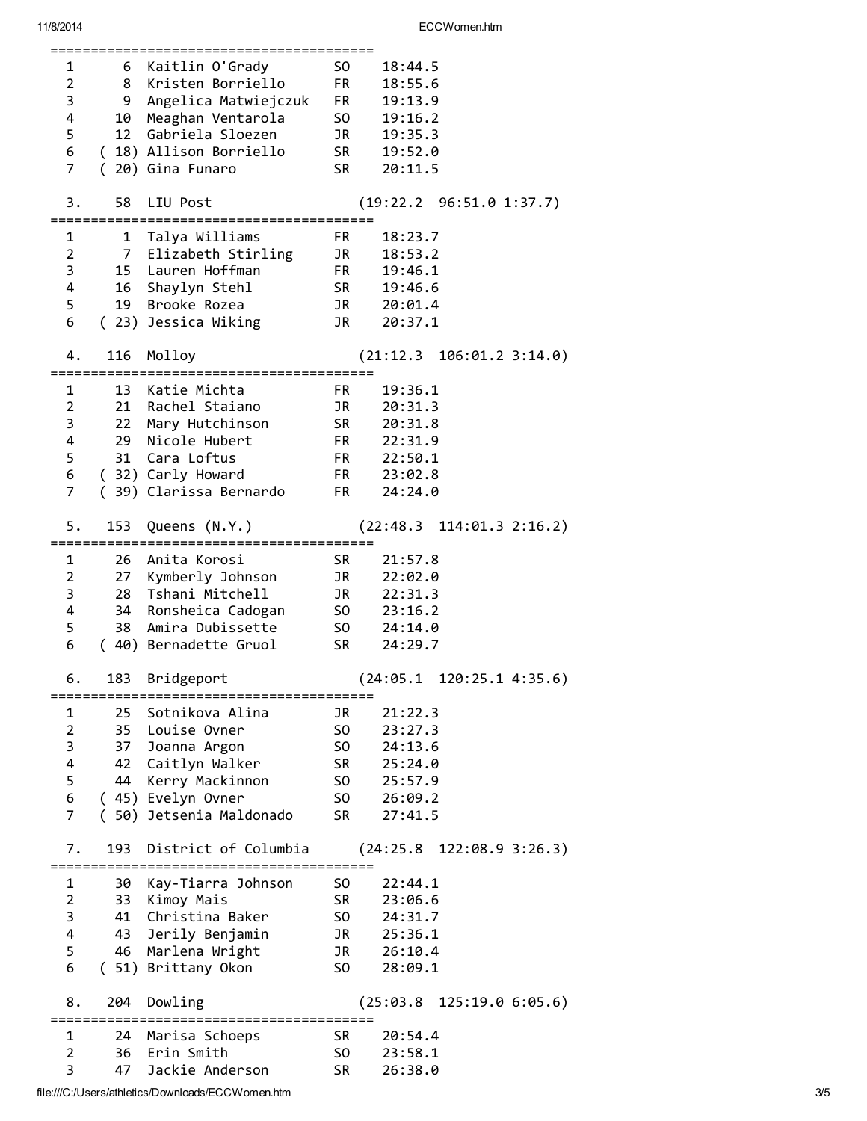| 1              | 6              | Kaitlin O'Grady               | SO -                                                                                                                                                                                                                           | 18:44.5                         |
|----------------|----------------|-------------------------------|--------------------------------------------------------------------------------------------------------------------------------------------------------------------------------------------------------------------------------|---------------------------------|
| $\overline{2}$ | 8              | Kristen Borriello             | FR <sub>1</sub>                                                                                                                                                                                                                | 18:55.6                         |
| 3              | 9              | Angelica Matwiejczuk          | <b>FR</b>                                                                                                                                                                                                                      | 19:13.9                         |
| 4              | 10             | Meaghan Ventarola             |                                                                                                                                                                                                                                | SO 19:16.2                      |
|                |                |                               |                                                                                                                                                                                                                                |                                 |
| 5              |                | 12 Gabriela Sloezen           | JR                                                                                                                                                                                                                             | 19:35.3                         |
| 6              |                | (18) Allison Borriello        |                                                                                                                                                                                                                                | SR 19:52.0                      |
| $\overline{7}$ | $\left($       | 20) Gina Funaro               | SR                                                                                                                                                                                                                             | 20:11.5                         |
|                |                |                               |                                                                                                                                                                                                                                |                                 |
| 3.             |                | 58 LIU Post                   |                                                                                                                                                                                                                                | (19:22.2 96:51.0 1:37.7)        |
|                |                |                               |                                                                                                                                                                                                                                |                                 |
| 1              |                | 1 Talya Williams              | FR.                                                                                                                                                                                                                            | 18:23.7                         |
| $\overline{2}$ |                | 7 Elizabeth Stirling          |                                                                                                                                                                                                                                | JR 18:53.2                      |
| 3              |                | 15 Lauren Hoffman             |                                                                                                                                                                                                                                | FR 19:46.1                      |
| 4              |                |                               |                                                                                                                                                                                                                                |                                 |
|                |                | 16 Shaylyn Stehl              |                                                                                                                                                                                                                                | SR 19:46.6                      |
| 5              |                | 19 Brooke Rozea               |                                                                                                                                                                                                                                | JR 20:01.4                      |
| 6              |                | (23) Jessica Wiking           | JR                                                                                                                                                                                                                             | 20:37.1                         |
|                |                |                               |                                                                                                                                                                                                                                |                                 |
| 4.             | 116            | Molloy                        |                                                                                                                                                                                                                                | (21:12.3 106:01.2 3:14.0)       |
|                |                |                               |                                                                                                                                                                                                                                |                                 |
| $1 \ \nu$      | 13             | Katie Michta                  | FR                                                                                                                                                                                                                             | 19:36.1                         |
| $\overline{2}$ |                | 21 Rachel Staiano             | JR                                                                                                                                                                                                                             | 20:31.3                         |
| 3              | 22             | Mary Hutchinson               | SR <sub>2</sub>                                                                                                                                                                                                                | 20:31.8                         |
| 4              | 29             | Nicole Hubert                 |                                                                                                                                                                                                                                | FR 22:31.9                      |
|                |                |                               |                                                                                                                                                                                                                                |                                 |
| 5              |                | 31 Cara Loftus                |                                                                                                                                                                                                                                | FR 22:50.1                      |
| 6              |                | (32) Carly Howard             |                                                                                                                                                                                                                                | FR 23:02.8                      |
| $\overline{7}$ |                | (39) Clarissa Bernardo        | <b>FR</b>                                                                                                                                                                                                                      | 24:24.0                         |
|                |                |                               |                                                                                                                                                                                                                                |                                 |
| 5.             | 153            | Queens (N.Y.)                 |                                                                                                                                                                                                                                | $(22:48.3 \t114:01.3 \t2:16.2)$ |
|                |                |                               |                                                                                                                                                                                                                                |                                 |
| 1              | 26             | Anita Korosi                  | SR and the set of the set of the set of the set of the set of the set of the set of the set of the set of the set of the set of the set of the set of the set of the set of the set of the set of the set of the set of the se | 21:57.8                         |
| $\overline{2}$ |                | 27 Kymberly Johnson           | JR <sub>D</sub>                                                                                                                                                                                                                | 22:02.0                         |
| 3              | 28             | Tshani Mitchell               |                                                                                                                                                                                                                                | JR 22:31.3                      |
| 4              |                |                               |                                                                                                                                                                                                                                |                                 |
|                |                | 34 Ronsheica Cadogan          |                                                                                                                                                                                                                                | SO 23:16.2                      |
| 5              |                | 38 Amira Dubissette           |                                                                                                                                                                                                                                | SO 24:14.0                      |
| 6              |                | (40) Bernadette Gruol         | SR                                                                                                                                                                                                                             | 24:29.7                         |
|                |                |                               |                                                                                                                                                                                                                                |                                 |
| ь.             | 183            | Bridgeport                    |                                                                                                                                                                                                                                | $(24:05.1 \t120:25.1 \t4:35.6)$ |
|                |                | :=================            |                                                                                                                                                                                                                                |                                 |
| 1              | 25             | Sotnikova Alina               | JR                                                                                                                                                                                                                             |                                 |
| $\overline{2}$ |                | 35 Louise Ovner               |                                                                                                                                                                                                                                | 21:22.3                         |
| 3              |                |                               | SO.                                                                                                                                                                                                                            | 23:27.3                         |
|                |                |                               |                                                                                                                                                                                                                                |                                 |
|                | 37             | Joanna Argon                  | S <sub>0</sub>                                                                                                                                                                                                                 | 24:13.6                         |
| 4              |                | 42 Caitlyn Walker             | SR <sub>2</sub>                                                                                                                                                                                                                | 25:24.0                         |
| 5              | 44             | Kerry Mackinnon               | SO <sub>2</sub>                                                                                                                                                                                                                | 25:57.9                         |
| 6              |                | (45) Evelyn Ovner             | SO <sub>2</sub>                                                                                                                                                                                                                | 26:09.2                         |
| $\overline{7}$ |                | (50) Jetsenia Maldonado       | <b>SR</b>                                                                                                                                                                                                                      | 27:41.5                         |
|                |                |                               |                                                                                                                                                                                                                                |                                 |
| 7.             | 193            | District of Columbia          |                                                                                                                                                                                                                                | $(24:25.8 \t122:08.9 \t3:26.3)$ |
|                |                |                               |                                                                                                                                                                                                                                |                                 |
| 1              | 30             | Kay-Tiarra Johnson            | SO.                                                                                                                                                                                                                            | 22:44.1                         |
| $\overline{2}$ | 33             | Kimoy Mais                    | SR <sub>20</sub>                                                                                                                                                                                                               | 23:06.6                         |
| 3              | 41             | Christina Baker               | SO <sub>2</sub>                                                                                                                                                                                                                | 24:31.7                         |
|                |                |                               |                                                                                                                                                                                                                                |                                 |
| 4              |                | 43 Jerily Benjamin            | JR D                                                                                                                                                                                                                           | 25:36.1                         |
| 5              | 46             | Marlena Wright                | JR D                                                                                                                                                                                                                           | 26:10.4                         |
| 6              |                | (51) Brittany Okon            | S <sub>0</sub>                                                                                                                                                                                                                 | 28:09.1                         |
|                |                |                               |                                                                                                                                                                                                                                |                                 |
| 8.             | 204            | Dowling                       |                                                                                                                                                                                                                                | $(25:03.8 \t125:19.0 \t6:05.6)$ |
|                | ============== | ========================      |                                                                                                                                                                                                                                |                                 |
| 1              | 24             | Marisa Schoeps                | SR                                                                                                                                                                                                                             | 20:54.4                         |
| 2<br>3         | 36<br>47       | Erin Smith<br>Jackie Anderson | SO.<br><b>SR</b>                                                                                                                                                                                                               | 23:58.1<br>26:38.0              |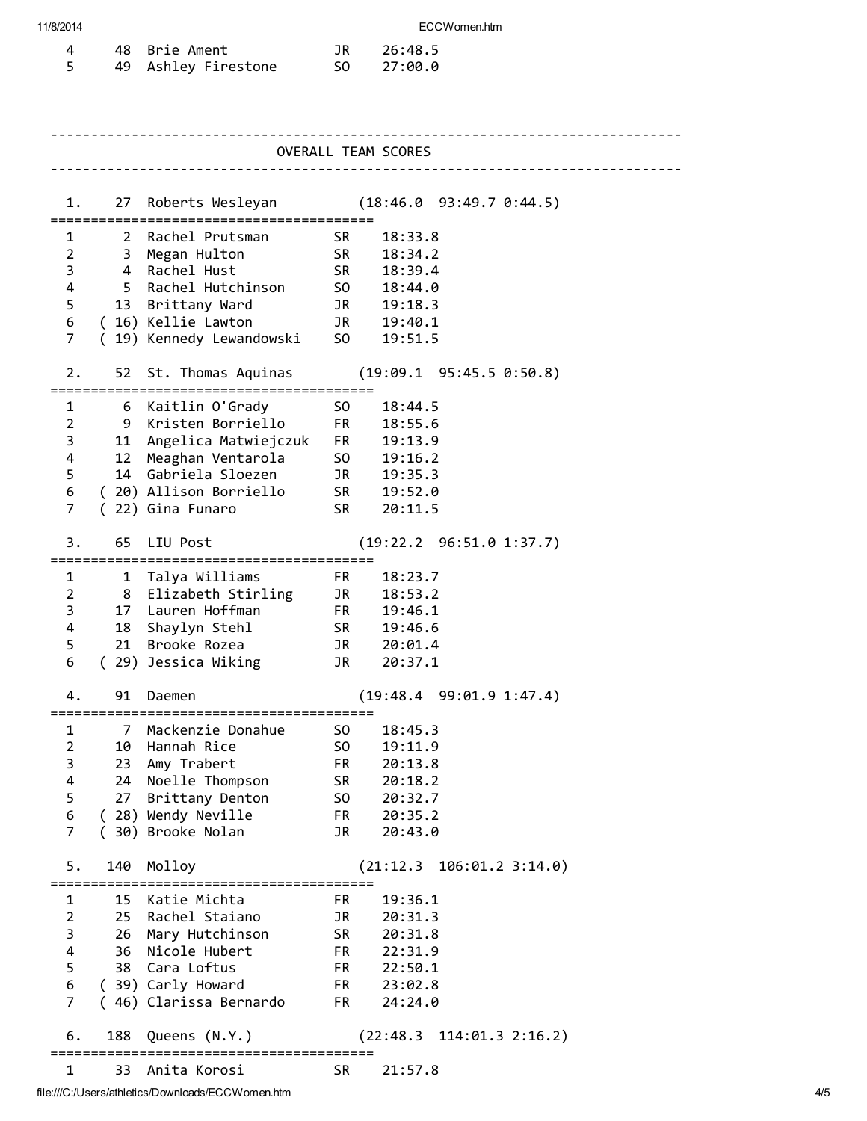#### 11/8/2014 ECCWomen.htm

|  | 48 Brie Ament       | JR 26:48.5 |
|--|---------------------|------------|
|  | 49 Ashley Firestone | SO 27:00.0 |

| OVERALL TEAM SCORES     |              |                                                     |                                                                                                                                                                                                                                |                                              |  |  |  |
|-------------------------|--------------|-----------------------------------------------------|--------------------------------------------------------------------------------------------------------------------------------------------------------------------------------------------------------------------------------|----------------------------------------------|--|--|--|
|                         |              |                                                     |                                                                                                                                                                                                                                |                                              |  |  |  |
| 1.                      |              |                                                     |                                                                                                                                                                                                                                | 27 Roberts Wesleyan (18:46.0 93:49.7 0:44.5) |  |  |  |
| 1                       |              | 2 Rachel Prutsman                                   | SR –                                                                                                                                                                                                                           | 18:33.8                                      |  |  |  |
| $\overline{2}$          | 3            | Megan Hulton                                        | <b>SR</b>                                                                                                                                                                                                                      | 18:34.2                                      |  |  |  |
| 3                       | 4            | Rachel Hust                                         | <b>SR</b>                                                                                                                                                                                                                      | 18:39.4                                      |  |  |  |
| 4                       | 5.           | Rachel Hutchinson                                   | S <sub>0</sub>                                                                                                                                                                                                                 | 18:44.0                                      |  |  |  |
| 5                       | 13           | Brittany Ward                                       | JR D                                                                                                                                                                                                                           | 19:18.3                                      |  |  |  |
| 6                       |              | (16) Kellie Lawton                                  | JR                                                                                                                                                                                                                             | 19:40.1                                      |  |  |  |
| 7                       |              | ( 19) Kennedy Lewandowski                           | S <sub>0</sub>                                                                                                                                                                                                                 | 19:51.5                                      |  |  |  |
| 2.                      |              | 52 St. Thomas Aquinas<br>======================     |                                                                                                                                                                                                                                | $(19:09.1 \t 95:45.5 \t 0:50.8)$             |  |  |  |
| 1                       |              | 6 Kaitlin O'Grady                                   | SO.                                                                                                                                                                                                                            | 18:44.5                                      |  |  |  |
| $\overline{2}$          | 9            | Kristen Borriello                                   | FR <sub>1</sub>                                                                                                                                                                                                                | 18:55.6                                      |  |  |  |
| 3                       | 11           | Angelica Matwiejczuk                                | <b>FR</b>                                                                                                                                                                                                                      | 19:13.9                                      |  |  |  |
| 4                       | 12           | Meaghan Ventarola                                   | SO <sub>1</sub>                                                                                                                                                                                                                | 19:16.2                                      |  |  |  |
| 5                       | 14           | Gabriela Sloezen                                    | JR <sub>D</sub>                                                                                                                                                                                                                | 19:35.3                                      |  |  |  |
| 6                       |              | (20) Allison Borriello                              | SR <sub>1</sub>                                                                                                                                                                                                                | 19:52.0                                      |  |  |  |
| 7                       |              | (22) Gina Funaro                                    | <b>SR</b>                                                                                                                                                                                                                      | 20:11.5                                      |  |  |  |
|                         |              |                                                     |                                                                                                                                                                                                                                |                                              |  |  |  |
| 3.                      | 65           | LIU Post                                            |                                                                                                                                                                                                                                | (19:22.2 96:51.0 1:37.7)                     |  |  |  |
| 1                       | $\mathbf{1}$ | Talya Williams                                      | FR.                                                                                                                                                                                                                            | 18:23.7                                      |  |  |  |
| $\overline{2}$          | 8            | Elizabeth Stirling                                  | JR                                                                                                                                                                                                                             | 18:53.2                                      |  |  |  |
| 3                       |              | 17 Lauren Hoffman                                   | FR                                                                                                                                                                                                                             | 19:46.1                                      |  |  |  |
| 4                       | 18           | Shaylyn Stehl                                       | SR and the set of the set of the set of the set of the set of the set of the set of the set of the set of the set of the set of the set of the set of the set of the set of the set of the set of the set of the set of the se | 19:46.6                                      |  |  |  |
| 5                       | 21           | Brooke Rozea                                        | JR                                                                                                                                                                                                                             | 20:01.4                                      |  |  |  |
| 6                       |              | (29) Jessica Wiking                                 | JR                                                                                                                                                                                                                             | 20:37.1                                      |  |  |  |
|                         |              |                                                     |                                                                                                                                                                                                                                |                                              |  |  |  |
| 4.                      | 91           | Daemen                                              |                                                                                                                                                                                                                                | (19:48.4 99:01.9 1:47.4)                     |  |  |  |
|                         |              |                                                     |                                                                                                                                                                                                                                |                                              |  |  |  |
| 1                       | 7            | Mackenzie Donahue                                   | S <sub>0</sub>                                                                                                                                                                                                                 | 18:45.3                                      |  |  |  |
| $\overline{\mathbf{c}}$ |              | 10 Hannah Rice                                      | SO <sub>1</sub>                                                                                                                                                                                                                | 19:11.9                                      |  |  |  |
| 3                       | 23           | Amy Trabert                                         | FR                                                                                                                                                                                                                             | 20:13.8                                      |  |  |  |
| 4                       | 24           | Noelle Thompson                                     | SR                                                                                                                                                                                                                             | 20:18.2                                      |  |  |  |
| 5                       | 27           | Brittany Denton                                     | SO <sub>2</sub>                                                                                                                                                                                                                | 20:32.7                                      |  |  |  |
| 6                       |              | (28) Wendy Neville                                  | FR <sub>1</sub>                                                                                                                                                                                                                | 20:35.2                                      |  |  |  |
| $\overline{7}$          |              | (30) Brooke Nolan                                   | JR                                                                                                                                                                                                                             | 20:43.0                                      |  |  |  |
| 5.                      | 140          | Molloy                                              |                                                                                                                                                                                                                                | (21:12.3 106:01.2 3:14.0)                    |  |  |  |
| 1                       | 15           | Katie Michta                                        | FR                                                                                                                                                                                                                             | 19:36.1                                      |  |  |  |
| $\overline{2}$          | 25           | Rachel Staiano                                      | JR                                                                                                                                                                                                                             | 20:31.3                                      |  |  |  |
| 3                       | 26           | Mary Hutchinson                                     | <b>SR</b>                                                                                                                                                                                                                      | 20:31.8                                      |  |  |  |
| 4                       | 36           | Nicole Hubert                                       | FR <sub>1</sub>                                                                                                                                                                                                                | 22:31.9                                      |  |  |  |
| 5                       |              | 38 Cara Loftus                                      | FR <sub>1</sub>                                                                                                                                                                                                                | 22:50.1                                      |  |  |  |
| 6                       |              | (39) Carly Howard                                   | FR <sub>1</sub>                                                                                                                                                                                                                | 23:02.8                                      |  |  |  |
| $\overline{7}$          |              | (46) Clarissa Bernardo                              | FR                                                                                                                                                                                                                             | 24:24.0                                      |  |  |  |
|                         |              |                                                     |                                                                                                                                                                                                                                |                                              |  |  |  |
| 6.                      | 188          | Queens (N.Y.)<br>================================== |                                                                                                                                                                                                                                | $(22:48.3 \t114:01.3 \t2:16.2)$              |  |  |  |
| 1                       | 33           | Anita Korosi                                        | SR.                                                                                                                                                                                                                            | 21:57.8                                      |  |  |  |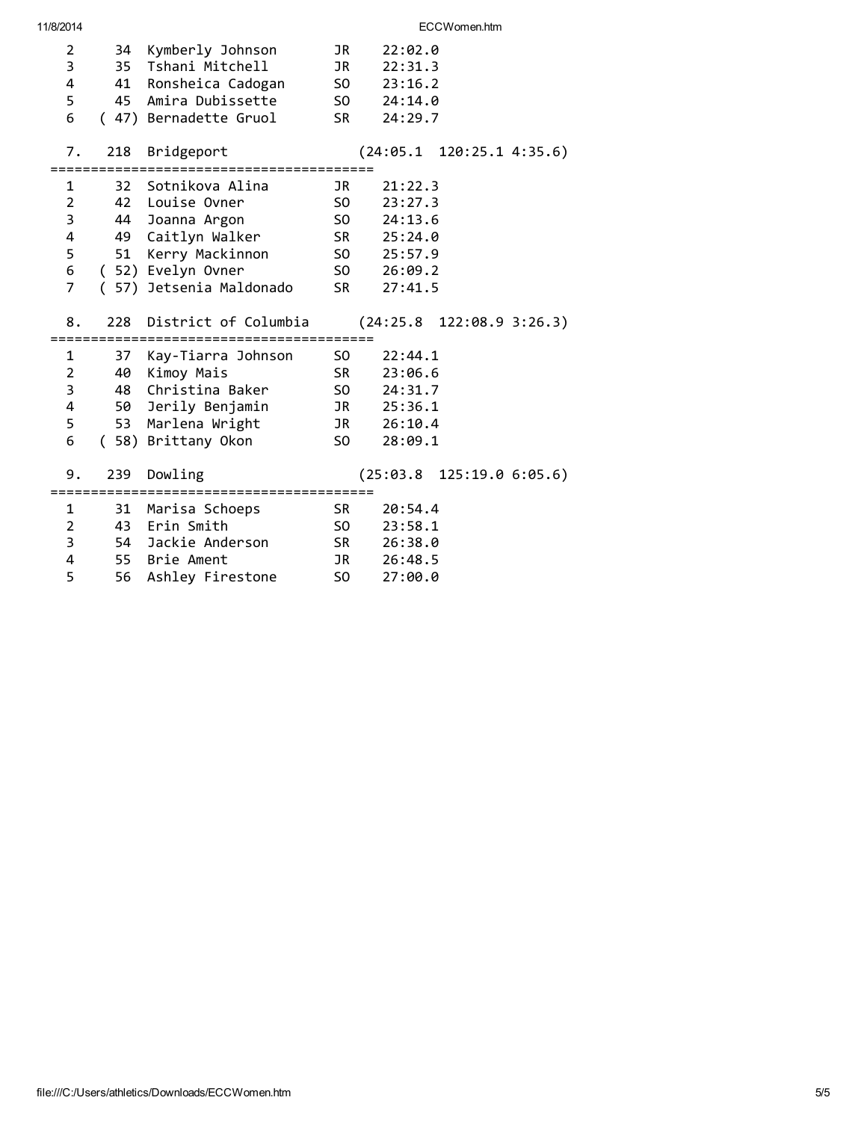| $\overline{2}$<br>3<br>4<br>5<br>6 | 35<br>41<br>45      | 34 Kymberly Johnson<br>Tshani Mitchell<br>Ronsheica Cadogan<br>Amira Dubissette<br>(47) Bernadette Gruol | JR<br>JR<br>SO <sub>2</sub><br>SO <sub>2</sub><br>SR and the set of the set of the set of the set of the set of the set of the set of the set of the set of the set of the set of the set of the set of the set of the set of the set of the set of the set of the set of the se | 22:02.0<br>22:31.3<br>23:16.2<br>24:14.0<br>24:29.7 |
|------------------------------------|---------------------|----------------------------------------------------------------------------------------------------------|----------------------------------------------------------------------------------------------------------------------------------------------------------------------------------------------------------------------------------------------------------------------------------|-----------------------------------------------------|
| 7.                                 | 218                 | Bridgeport                                                                                               |                                                                                                                                                                                                                                                                                  | $(24:05.1 \t120:25.1 \t4:35.6)$                     |
| 1                                  |                     | 32 Sotnikova Alina                                                                                       | JR                                                                                                                                                                                                                                                                               | 21:22.3                                             |
| $\overline{2}$                     |                     | 42 Louise Ovner                                                                                          | SO <sub>2</sub>                                                                                                                                                                                                                                                                  | 23:27.3                                             |
| 3                                  | 44                  | Joanna Argon                                                                                             | SO <sub>2</sub>                                                                                                                                                                                                                                                                  | 24:13.6                                             |
| 4                                  | 49                  | Caitlyn Walker                                                                                           | SR <sub>2</sub>                                                                                                                                                                                                                                                                  | 25:24.0                                             |
| 5                                  | 51                  | Kerry Mackinnon                                                                                          | SO <sub>2</sub>                                                                                                                                                                                                                                                                  | 25:57.9                                             |
| 6                                  |                     | ( 52) Evelyn Ovner                                                                                       | SO <sub>2</sub>                                                                                                                                                                                                                                                                  | 26:09.2                                             |
| $\overline{7}$                     |                     | ( 57) Jetsenia Maldonado                                                                                 | SR <sub>1</sub>                                                                                                                                                                                                                                                                  | 27:41.5                                             |
|                                    |                     |                                                                                                          |                                                                                                                                                                                                                                                                                  |                                                     |
| 8.                                 | 228                 | District of Columbia                                                                                     |                                                                                                                                                                                                                                                                                  | $(24:25.8 \t122:08.9 \t3:26.3)$                     |
|                                    |                     |                                                                                                          | ========                                                                                                                                                                                                                                                                         |                                                     |
| 1                                  |                     | 37 Kay-Tiarra Johnson                                                                                    | SO <sub>2</sub>                                                                                                                                                                                                                                                                  | 22:44.1                                             |
| $\overline{2}$                     | 40                  | Kimoy Mais                                                                                               | SR <sub>2</sub>                                                                                                                                                                                                                                                                  | 23:06.6                                             |
| 3                                  | 48                  | Christina Baker                                                                                          | SO <sub>2</sub>                                                                                                                                                                                                                                                                  | 24:31.7                                             |
| 4                                  |                     | 50 Jerily Benjamin                                                                                       | JR <b>DR</b>                                                                                                                                                                                                                                                                     | 25:36.1                                             |
| 5                                  | 53                  | Marlena Wright                                                                                           | JR D                                                                                                                                                                                                                                                                             | 26:10.4                                             |
| 6                                  |                     | (58) Brittany Okon                                                                                       | SO <sub>2</sub>                                                                                                                                                                                                                                                                  | 28:09.1                                             |
| 9.                                 | 239<br>============ | Dowling<br>=========================                                                                     |                                                                                                                                                                                                                                                                                  | (25:03.8 125:19.0 6:05.6)                           |
| 1                                  | 31                  | Marisa Schoeps                                                                                           | SR 1                                                                                                                                                                                                                                                                             | 20:54.4                                             |
| $\overline{2}$                     |                     | 43 Erin Smith                                                                                            | SO <sub>2</sub>                                                                                                                                                                                                                                                                  | 23:58.1                                             |
| 3                                  | 54                  | Jackie Anderson                                                                                          | SR <sub>2</sub>                                                                                                                                                                                                                                                                  | 26:38.0                                             |
| 4                                  |                     | 55 Brie Ament                                                                                            | JR                                                                                                                                                                                                                                                                               | 26:48.5                                             |
| 5                                  | 56                  | Ashley Firestone                                                                                         | SO                                                                                                                                                                                                                                                                               | 27:00.0                                             |
|                                    |                     |                                                                                                          |                                                                                                                                                                                                                                                                                  |                                                     |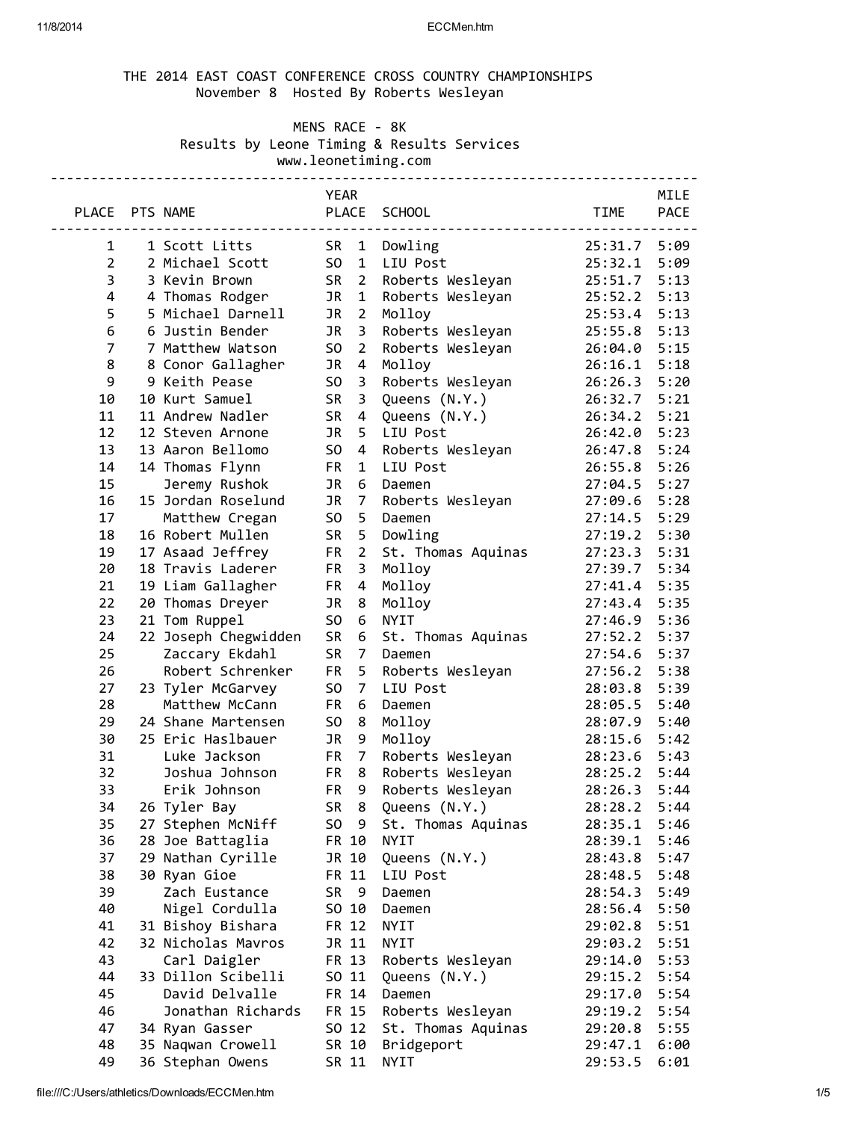### 11/8/2014 ECCMen.htm

# THE 2014 EAST COAST CONFERENCE CROSS COUNTRY CHAMPIONSHIPS November 8 Hosted By Roberts Wesleyan

MENS RACE - 8K

Results by Leone Timing & Results Services

www.leonetiming.com

|                |                      | YEAR            |                         |                    |              | MILE        |
|----------------|----------------------|-----------------|-------------------------|--------------------|--------------|-------------|
| PLACE PTS NAME |                      |                 |                         | PLACE SCHOOL       | <b>TIME</b>  | <b>PACE</b> |
|                | -------------------- |                 |                         |                    |              |             |
| $\mathbf{1}$   | 1 Scott Litts        |                 |                         | SR 1 Dowling       | 25:31.7 5:09 |             |
| $\overline{2}$ | 2 Michael Scott      | SO <sub>1</sub> |                         | 1 LIU Post         | 25:32.1      | 5:09        |
| 3              | 3 Kevin Brown        | <b>SR</b>       |                         | 2 Roberts Wesleyan | 25:51.7      | 5:13        |
| 4              | 4 Thomas Rodger      | JR              | 1                       | Roberts Wesleyan   | 25:52.2      | 5:13        |
| 5              | 5 Michael Darnell    | JR              | $\overline{2}$          | Molloy             | 25:53.4      | 5:13        |
| 6              | 6 Justin Bender      | JR              | $\overline{\mathbf{3}}$ | Roberts Wesleyan   | 25:55.8      | 5:13        |
| $\overline{7}$ | 7 Matthew Watson     | SO              | $\overline{2}$          | Roberts Wesleyan   | 26:04.0 5:15 |             |
| 8              | 8 Conor Gallagher    | JR              | $\overline{4}$          | Molloy             | 26:16.1      | 5:18        |
| 9              | 9 Keith Pease        | S <sub>0</sub>  | $\overline{\mathbf{3}}$ | Roberts Wesleyan   | 26:26.3 5:20 |             |
| 10             | 10 Kurt Samuel       | <b>SR</b>       | $\overline{\mathbf{3}}$ | Queens (N.Y.)      | 26:32.7      | 5:21        |
| 11             | 11 Andrew Nadler     | <b>SR</b>       |                         | 4 Queens (N.Y.)    | 26:34.2      | 5:21        |
| 12             | 12 Steven Arnone     | JR I            |                         | 5 LIU Post         | 26:42.0 5:23 |             |
| 13             | 13 Aaron Bellomo     | SO <sub>1</sub> |                         | 4 Roberts Wesleyan | 26:47.8 5:24 |             |
| 14             | 14 Thomas Flynn      | <b>FR</b>       | $\mathbf{1}$            | LIU Post           | 26:55.8 5:26 |             |
| 15             | Jeremy Rushok        | JR              |                         | 6 Daemen           | 27:04.5      | 5:27        |
| 16             | 15 Jordan Roselund   | JR              | $\overline{7}$          | Roberts Wesleyan   | 27:09.6 5:28 |             |
| 17             | Matthew Cregan       | S <sub>O</sub>  | 5                       | Daemen             | 27:14.5      | 5:29        |
| 18             | 16 Robert Mullen     | <b>SR</b>       | 5                       | Dowling            | 27:19.2      | 5:30        |
| 19             | 17 Asaad Jeffrey     | <b>FR</b>       | $\overline{2}$          | St. Thomas Aquinas | 27:23.3      | 5:31        |
| 20             | 18 Travis Laderer    | <b>FR</b>       | $\overline{\mathbf{3}}$ | Molloy             | 27:39.7      | 5:34        |
| 21             | 19 Liam Gallagher    | <b>FR</b>       | $\overline{4}$          | Molloy             | 27:41.4      | 5:35        |
| 22             | 20 Thomas Dreyer     | JR              | 8                       | Molloy             | 27:43.4      | 5:35        |
| 23             | 21 Tom Ruppel        | SO              | 6                       | <b>NYIT</b>        | 27:46.9 5:36 |             |
| 24             | 22 Joseph Chegwidden | <b>SR</b>       | 6                       | St. Thomas Aquinas | 27:52.2      | 5:37        |
| 25             | Zaccary Ekdahl       | <b>SR</b>       | $\overline{7}$          | Daemen             | 27:54.6      | 5:37        |
| 26             | Robert Schrenker     | FR.             | 5                       | Roberts Wesleyan   | 27:56.2      | 5:38        |
| 27             | 23 Tyler McGarvey    | S <sub>0</sub>  | $\overline{7}$          | LIU Post           | 28:03.8      | 5:39        |
| 28             | Matthew McCann       | FR.             | 6                       | Daemen             | 28:05.5      | 5:40        |
| 29             | 24 Shane Martensen   | SO              | 8                       | Molloy             | 28:07.9      | 5:40        |
| 30             | 25 Eric Haslbauer    | JR              | 9                       | Molloy             | 28:15.6 5:42 |             |
| 31             | Luke Jackson         |                 | FR <sub>7</sub>         | Roberts Wesleyan   | 28:23.6 5:43 |             |
| 32             | Joshua Johnson       |                 | FR <sub>8</sub>         | Roberts Wesleyan   | 28:25.2 5:44 |             |
| 33             | Erik Johnson         | <b>FR</b>       | 9                       | Roberts Wesleyan   | 28:26.3 5:44 |             |
| 34             | 26 Tyler Bay         |                 |                         | SR 8 Queens (N.Y.) | 28:28.2 5:44 |             |
| 35             | 27 Stephen McNiff    | SO.             | - 9                     | St. Thomas Aquinas | 28:35.1      | 5:46        |
| 36             | 28 Joe Battaglia     |                 | FR 10                   | <b>NYIT</b>        | 28:39.1      | 5:46        |
| 37             | 29 Nathan Cyrille    |                 | JR 10                   | Queens (N.Y.)      | 28:43.8      | 5:47        |
| 38             | 30 Ryan Gioe         |                 | FR 11                   | LIU Post           | 28:48.5      | 5:48        |
| 39             | Zach Eustance        | <b>SR</b>       | - 9                     | Daemen             | 28:54.3      | 5:49        |
| 40             | Nigel Cordulla       |                 | SO 10                   | Daemen             | 28:56.4      | 5:50        |
| 41             | 31 Bishoy Bishara    |                 | FR 12                   | <b>NYIT</b>        | 29:02.8      | 5:51        |
| 42             | 32 Nicholas Mavros   |                 | JR 11                   | <b>NYIT</b>        | 29:03.2      | 5:51        |
| 43             | Carl Daigler         |                 | FR 13                   | Roberts Wesleyan   | 29:14.0      | 5:53        |
| 44             | 33 Dillon Scibelli   |                 | SO 11                   | Queens (N.Y.)      | 29:15.2      | 5:54        |
| 45             | David Delvalle       |                 | FR 14                   | Daemen             | 29:17.0      | 5:54        |
| 46             | Jonathan Richards    |                 | FR 15                   | Roberts Wesleyan   | 29:19.2      | 5:54        |
| 47             | 34 Ryan Gasser       |                 | SO 12                   | St. Thomas Aquinas | 29:20.8      | 5:55        |
| 48             | 35 Naqwan Crowell    |                 | SR 10                   | Bridgeport         | 29:47.1      | 6:00        |
| 49             | 36 Stephan Owens     |                 | SR 11                   | <b>NYIT</b>        | 29:53.5      | 6:01        |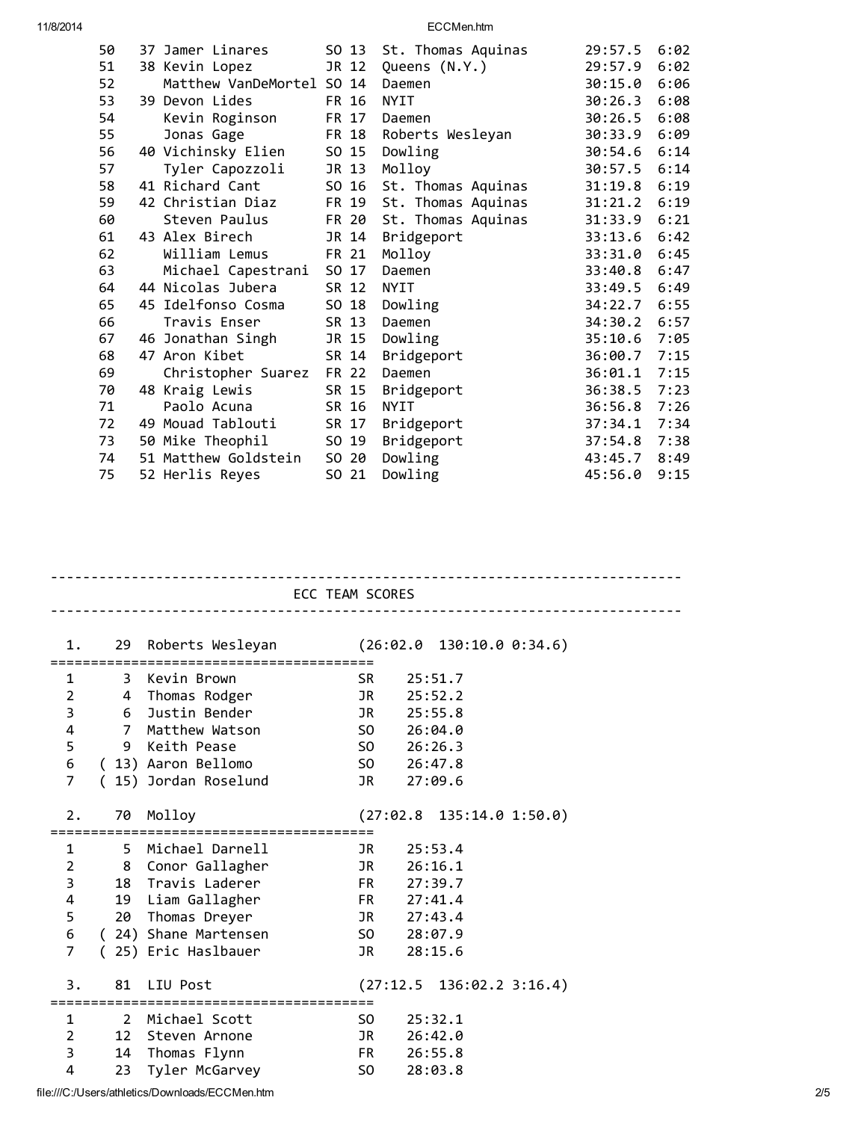11/8/2014 ECCMen.htm

| 50 | 37 Jamer Linares          |       | SO 13 | St. Thomas Aquinas | 29:57.5 | 6:02 |
|----|---------------------------|-------|-------|--------------------|---------|------|
| 51 | 38 Kevin Lopez            |       | JR 12 | Queens (N.Y.)      | 29:57.9 | 6:02 |
| 52 | Matthew VanDeMortel SO 14 |       |       | Daemen             | 30:15.0 | 6:06 |
| 53 | 39 Devon Lides            | FR 16 |       | <b>NYIT</b>        | 30:26.3 | 6:08 |
| 54 | Kevin Roginson            |       | FR 17 | Daemen             | 30:26.5 | 6:08 |
| 55 | Jonas Gage                | FR 18 |       | Roberts Wesleyan   | 30:33.9 | 6:09 |
| 56 | 40 Vichinsky Elien        | SO 15 |       | Dowling            | 30:54.6 | 6:14 |
| 57 | Tyler Capozzoli           | JR 13 |       | Molloy             | 30:57.5 | 6:14 |
| 58 | 41 Richard Cant           | SO 16 |       | St. Thomas Aquinas | 31:19.8 | 6:19 |
| 59 | 42 Christian Diaz         |       | FR 19 | St. Thomas Aquinas | 31:21.2 | 6:19 |
| 60 | Steven Paulus             |       | FR 20 | St. Thomas Aquinas | 31:33.9 | 6:21 |
| 61 | 43 Alex Birech            |       | JR 14 | Bridgeport         | 33:13.6 | 6:42 |
| 62 | William Lemus             | FR 21 |       | Molloy             | 33:31.0 | 6:45 |
| 63 | Michael Capestrani        | SO 17 |       | Daemen             | 33:40.8 | 6:47 |
| 64 | 44 Nicolas Jubera         | SR 12 |       | <b>NYIT</b>        | 33:49.5 | 6:49 |
| 65 | 45 Idelfonso Cosma        | SO 18 |       | Dowling            | 34:22.7 | 6:55 |
| 66 | Travis Enser              | SR 13 |       | Daemen             | 34:30.2 | 6:57 |
| 67 | 46 Jonathan Singh         | JR 15 |       | Dowling            | 35:10.6 | 7:05 |
| 68 | 47 Aron Kibet             | SR 14 |       | Bridgeport         | 36:00.7 | 7:15 |
| 69 | Christopher Suarez        | FR 22 |       | Daemen             | 36:01.1 | 7:15 |
| 70 | 48 Kraig Lewis            | SR 15 |       | Bridgeport         | 36:38.5 | 7:23 |
| 71 | Paolo Acuna               | SR 16 |       | <b>NYIT</b>        | 36:56.8 | 7:26 |
| 72 | 49 Mouad Tablouti         | SR 17 |       | Bridgeport         | 37:34.1 | 7:34 |
| 73 | 50 Mike Theophil          | SO 19 |       | Bridgeport         | 37:54.8 | 7:38 |
| 74 | 51 Matthew Goldstein      | SO 20 |       | Dowling            | 43:45.7 | 8:49 |
| 75 | 52 Herlis Reyes           | SO 21 |       | Dowling            | 45:56.0 | 9:15 |

|                | ECC TEAM SCORES                |                                                                     |       |                                 |  |  |  |
|----------------|--------------------------------|---------------------------------------------------------------------|-------|---------------------------------|--|--|--|
|                | 1.                             | 29 Roberts Wesleyan (26:02.0 130:10.0 0:34.6)<br>================== |       |                                 |  |  |  |
| 1              |                                | 3 Kevin Brown                                                       | SR.   | 25:51.7                         |  |  |  |
| $\overline{2}$ |                                | 4 Thomas Rodger                                                     |       | JR 25:52.2                      |  |  |  |
| 3              | 6                              | Justin Bender                                                       | JR    | 25:55.8                         |  |  |  |
| 4              | $7^{\circ}$                    | Matthew Watson                                                      |       | SO 26:04.0                      |  |  |  |
| 5              |                                | 9 Keith Pease                                                       |       | SO 26:26.3                      |  |  |  |
|                |                                | 6 (13) Aaron Bellomo                                                |       | SO 26:47.8                      |  |  |  |
| $\overline{7}$ |                                | (15) Jordan Roselund                                                | JR    | 27:09.6                         |  |  |  |
| 2.             |                                | 70 Molloy                                                           |       | $(27:02.8 \t135:14.0 \t1:50.0)$ |  |  |  |
| $\mathbf{1}$   |                                | 5 Michael Darnell<br><b>Example 18</b>                              |       | 25:53.4                         |  |  |  |
|                | $2 \left( \frac{1}{2} \right)$ | 8 Conor Gallagher                                                   |       | JR 26:16.1                      |  |  |  |
| 3              |                                | 18 Travis Laderer                                                   |       | FR 27:39.7                      |  |  |  |
| 4              |                                | 19 Liam Gallagher                                                   |       | FR 27:41.4                      |  |  |  |
| 5              |                                | 20 Thomas Dreyer                                                    |       | JR 27:43.4                      |  |  |  |
| 6              |                                | (24) Shane Martensen                                                |       | $SO \ 28:07.9$                  |  |  |  |
| $\overline{7}$ |                                | (25) Eric Haslbauer                                                 | JR    | 28:15.6                         |  |  |  |
| 3.             |                                | 81 LIU Post                                                         |       | $(27:12.5 \t136:02.2 \t3:16.4)$ |  |  |  |
| $\mathbf{1}$   | $\overline{2}$                 | Michael Scott                                                       |       | $SO \t 25:32.1$                 |  |  |  |
| $\overline{2}$ | 12                             | Steven Arnone                                                       |       | JR 26:42.0                      |  |  |  |
| 3              |                                | 14 Thomas Flynn                                                     |       | FR 26:55.8                      |  |  |  |
| 4              | 23                             | Tyler McGarvey                                                      | SO DO | 28:03.8                         |  |  |  |
|                |                                |                                                                     |       |                                 |  |  |  |

file:///C:/Users/athletics/Downloads/ECCMen.htm 2/5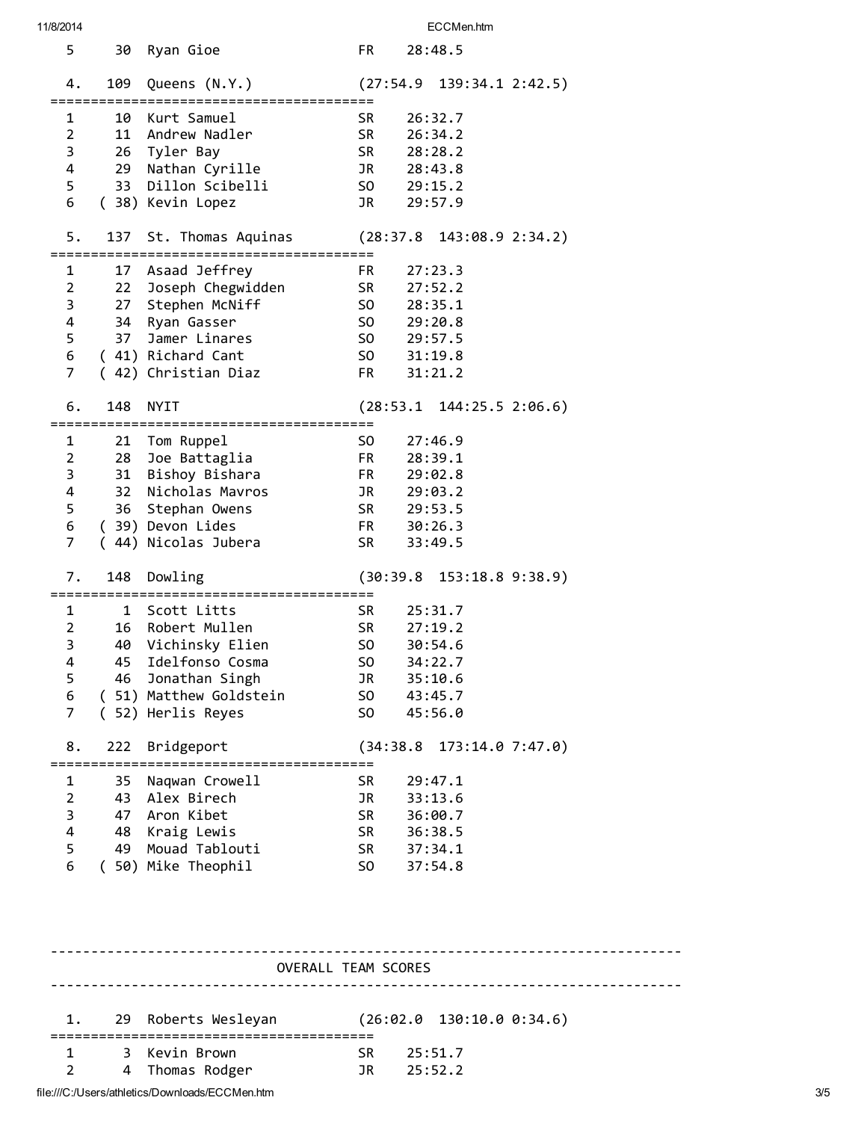| 11/8/2014           |     |                        |                       | ECCMen.htm                      |                                     |
|---------------------|-----|------------------------|-----------------------|---------------------------------|-------------------------------------|
| 5                   |     | 30 Ryan Gioe           | FR                    | 28:48.5                         |                                     |
| 4.                  |     | 109 Queens (N.Y.)      |                       | $(27:54.9 \t139:34.1 \t2:42.5)$ |                                     |
| 1                   |     | 10 Kurt Samuel         | <b>SR</b>             | 26:32.7                         |                                     |
| $\overline{2}$      |     | 11 Andrew Nadler       | SR                    | 26:34.2                         |                                     |
| 3                   |     |                        | <b>SR</b>             | 28:28.2                         |                                     |
|                     |     | 26 Tyler Bay           | JR 28:43.8            |                                 |                                     |
| $\overline{4}$      |     | 29 Nathan Cyrille      |                       |                                 |                                     |
| 5                   |     | 33 Dillon Scibelli     | SO <sub>2</sub>       | 29:15.2                         |                                     |
| 6                   |     | (38) Kevin Lopez       | JR                    | 29:57.9                         |                                     |
| 5.                  |     | 137 St. Thomas Aquinas |                       | $(28:37.8 \t143:08.9 \t2:34.2)$ |                                     |
| 1                   |     | 17 Asaad Jeffrey       | FR                    | 27:23.3                         |                                     |
| 2                   |     | 22 Joseph Chegwidden   | SR <sub>1</sub>       | 27:52.2                         |                                     |
| 3                   |     | 27 Stephen McNiff      | SO <sub>3</sub>       | 28:35.1                         |                                     |
| 4                   |     | 34 Ryan Gasser         | SO <sub>2</sub>       | 29:20.8                         |                                     |
| 5                   |     | 37 Jamer Linares       | SO <sub>2</sub>       | 29:57.5                         |                                     |
| 6                   |     | (41) Richard Cant      | SO <sub>2</sub>       | 31:19.8                         |                                     |
| $\overline{7}$      |     |                        | FR F                  |                                 |                                     |
|                     |     | (42) Christian Diaz    |                       | 31:21.2                         |                                     |
| 6.                  | 148 | NYIT                   |                       | $(28:53.1 \t144:25.5 \t2:06.6)$ |                                     |
| 1                   |     | 21 Tom Ruppel          | S <sub>0</sub>        | 27:46.9                         |                                     |
| 2                   |     | 28 Joe Battaglia       | FR <sub>1</sub>       | 28:39.1                         |                                     |
| 3                   |     | 31 Bishoy Bishara      | FR <sub>1</sub>       | 29:02.8                         |                                     |
| 4                   |     | 32 Nicholas Mavros     | JR <sub>1</sub>       | 29:03.2                         |                                     |
| 5                   |     |                        | SR                    |                                 |                                     |
|                     |     | 36 Stephan Owens       | FR <sub>1</sub>       | 29:53.5                         |                                     |
| 6<br>$\overline{7}$ |     | (39) Devon Lides       |                       | 30:26.3                         |                                     |
|                     |     | (44) Nicolas Jubera    | SR                    | 33:49.5                         |                                     |
| 7.                  |     | 148 Dowling            |                       | $(30:39.8 \t153:18.8 \t9:38.9)$ |                                     |
| 1                   |     | 1 Scott Litts          | <b>SR</b>             | 25:31.7                         |                                     |
| 2                   |     | 16 Robert Mullen       | SR                    | 27:19.2                         |                                     |
| 3                   | 40  | Vichinsky Elien        | S <sub>0</sub>        | 30:54.6                         |                                     |
| 4                   | 45  | Idelfonso Cosma        | S <sub>0</sub>        | 34:22.7                         |                                     |
| 5                   | 46  | Jonathan Singh         | JR                    | 35:10.6                         |                                     |
|                     |     | (51) Matthew Goldstein |                       |                                 |                                     |
| 6<br>$\overline{7}$ |     |                        | SO.<br>S <sub>0</sub> | 43:45.7<br>45:56.0              |                                     |
|                     |     | (52) Herlis Reyes      |                       |                                 |                                     |
| 8.                  |     | 222 Bridgeport         |                       | $(34:38.8 \t173:14.0 \t7:47.0)$ |                                     |
| 1                   |     | 35 Naqwan Crowell      | <b>SR</b>             | 29:47.1                         |                                     |
| 2                   |     | 43 Alex Birech         | JR                    | 33:13.6                         |                                     |
| 3                   |     | 47 Aron Kibet          | <b>SR</b>             | 36:00.7                         |                                     |
| 4                   |     | 48 Kraig Lewis         | <b>SR</b>             | 36:38.5                         |                                     |
| 5                   |     | 49 Mouad Tablouti      |                       |                                 |                                     |
| 6                   |     | (50) Mike Theophil     | SR 1                  | 37:34.1                         |                                     |
|                     |     |                        | SO.                   | 37:54.8                         |                                     |
|                     |     | OVERALL TEAM SCORES    |                       |                                 | ----------------------------------- |
|                     |     |                        |                       |                                 |                                     |
| 1.                  |     | 29 Roberts Wesleyan    |                       | (26:02.0 130:10.0 0:34.6)       |                                     |
| 1                   |     | 3 Kevin Brown          | <b>SR</b>             | 25:51.7                         |                                     |
|                     |     |                        |                       |                                 |                                     |
| $\overline{2}$      |     | 4 Thomas Rodger        | JR                    | 25:52.2                         |                                     |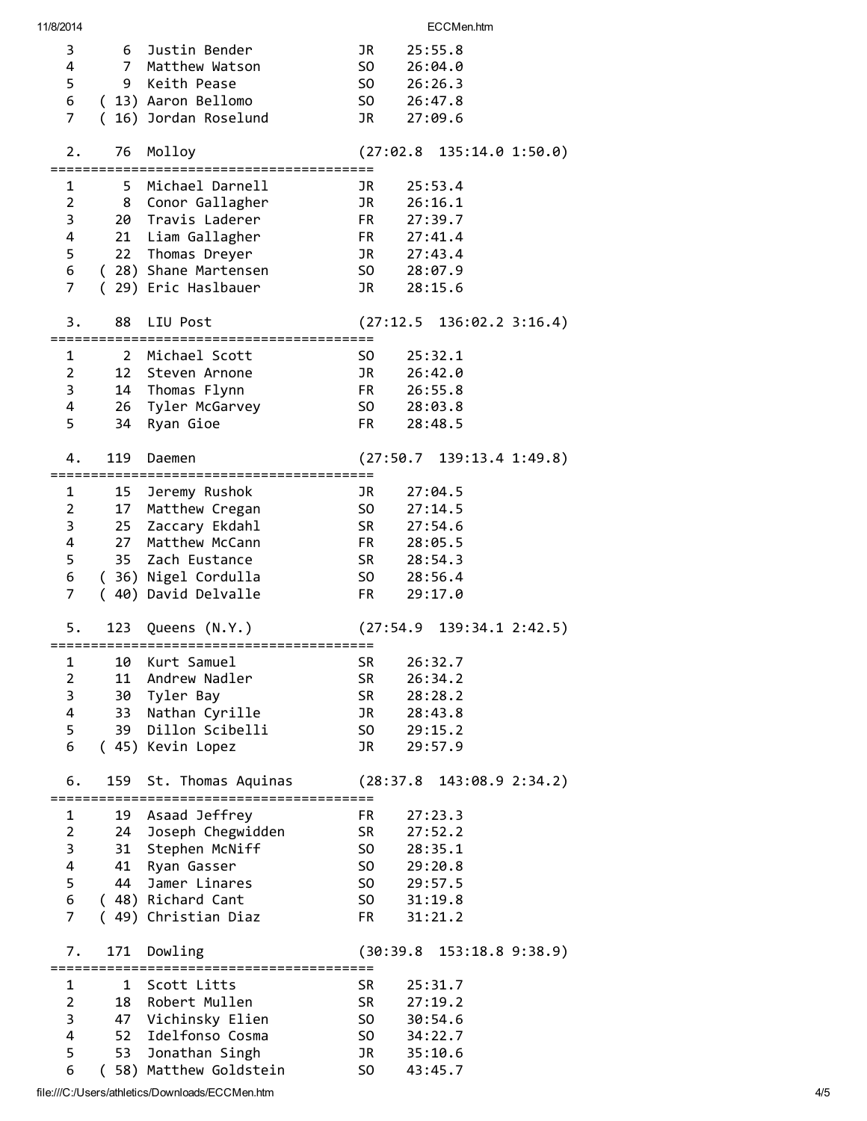| 11/8/2014      |     |                       |                                                                                                                                                                                                                                | ECCMen.htm                      |
|----------------|-----|-----------------------|--------------------------------------------------------------------------------------------------------------------------------------------------------------------------------------------------------------------------------|---------------------------------|
| 3              |     | 6 Justin Bender       | JR                                                                                                                                                                                                                             | 25:55.8                         |
| 4              |     | 7 Matthew Watson      | SO                                                                                                                                                                                                                             | 26:04.0                         |
| 5              |     | 9 Keith Pease         | SO                                                                                                                                                                                                                             | 26:26.3                         |
|                |     |                       |                                                                                                                                                                                                                                |                                 |
| 6              |     | (13) Aaron Bellomo    | SO <sub>2</sub>                                                                                                                                                                                                                | 26:47.8                         |
| $\overline{7}$ | (   | 16) Jordan Roselund   | JR                                                                                                                                                                                                                             | 27:09.6                         |
|                |     |                       |                                                                                                                                                                                                                                |                                 |
| 2.             | 76  | Molloy                |                                                                                                                                                                                                                                | (27:02.8 135:14.0 1:50.0)       |
|                |     |                       |                                                                                                                                                                                                                                |                                 |
| 1              |     | 5 Michael Darnell     | JR                                                                                                                                                                                                                             | 25:53.4                         |
| $\overline{2}$ |     | 8 Conor Gallagher     | JR                                                                                                                                                                                                                             | 26:16.1                         |
| 3              |     | 20 Travis Laderer     | FR                                                                                                                                                                                                                             | 27:39.7                         |
| 4              |     | 21 Liam Gallagher     | FR                                                                                                                                                                                                                             | 27:41.4                         |
| 5              |     | 22 Thomas Dreyer      | JR                                                                                                                                                                                                                             | 27:43.4                         |
|                |     |                       |                                                                                                                                                                                                                                |                                 |
| 6              |     | (28) Shane Martensen  | SO <sub>2</sub>                                                                                                                                                                                                                | 28:07.9                         |
| 7              |     | (29) Eric Haslbauer   | JR                                                                                                                                                                                                                             | 28:15.6                         |
|                |     |                       |                                                                                                                                                                                                                                |                                 |
| 3.             | 88  | LIU Post              |                                                                                                                                                                                                                                | (27:12.5 136:02.2 3:16.4)       |
|                |     |                       |                                                                                                                                                                                                                                |                                 |
| 1              | -2  | Michael Scott         | SO.                                                                                                                                                                                                                            | 25:32.1                         |
| $\overline{2}$ | 12  | Steven Arnone         | JR                                                                                                                                                                                                                             | 26:42.0                         |
| 3              |     | 14 Thomas Flynn       |                                                                                                                                                                                                                                | FR 26:55.8                      |
| 4              |     | 26 Tyler McGarvey     |                                                                                                                                                                                                                                | SO 28:03.8                      |
| 5              | 34  | Ryan Gioe             | FR <sub>1</sub>                                                                                                                                                                                                                | 28:48.5                         |
|                |     |                       |                                                                                                                                                                                                                                |                                 |
|                |     |                       |                                                                                                                                                                                                                                |                                 |
| 4.             | 119 | Daemen                |                                                                                                                                                                                                                                | $(27:50.7 \t139:13.4 \t1:49.8)$ |
|                |     |                       |                                                                                                                                                                                                                                |                                 |
| 1              | 15  | Jeremy Rushok         | JR                                                                                                                                                                                                                             | 27:04.5                         |
| $\overline{2}$ | 17  | Matthew Cregan        | SO.                                                                                                                                                                                                                            | 27:14.5                         |
| 3              |     | 25 Zaccary Ekdahl     | SR and the set of the set of the set of the set of the set of the set of the set of the set of the set of the set of the set of the set of the set of the set of the set of the set of the set of the set of the set of the se | 27:54.6                         |
| 4              | 27  | Matthew McCann        | FR F                                                                                                                                                                                                                           | 28:05.5                         |
| 5              |     | 35 Zach Eustance      | SR and the set of the set of the set of the set of the set of the set of the set of the set of the set of the set of the set of the set of the set of the set of the set of the set of the set of the set of the set of the se | 28:54.3                         |
| 6              |     | (36) Nigel Cordulla   |                                                                                                                                                                                                                                | SO 28:56.4                      |
| 7              |     | (40) David Delvalle   | FR F                                                                                                                                                                                                                           | 29:17.0                         |
|                |     |                       |                                                                                                                                                                                                                                |                                 |
| 5.             | 123 | Queens (N.Y.)         |                                                                                                                                                                                                                                | (27:54.9 139:34.1 2:42.5)       |
|                |     |                       |                                                                                                                                                                                                                                |                                 |
|                |     |                       |                                                                                                                                                                                                                                |                                 |
| 1              | 10  | Kurt Samuel           | SR.                                                                                                                                                                                                                            | 26:32.7                         |
| 2              | 11  | Andrew Nadler         | SR                                                                                                                                                                                                                             | 26:34.2                         |
| 3              | 30  | Tyler Bay             | <b>SR</b>                                                                                                                                                                                                                      | 28:28.2                         |
| 4              | 33  | Nathan Cyrille        | <b>JR</b>                                                                                                                                                                                                                      | 28:43.8                         |
| 5              | 39  | Dillon Scibelli       | SO.                                                                                                                                                                                                                            | 29:15.2                         |
| 6              |     | (45) Kevin Lopez      | <b>JR</b>                                                                                                                                                                                                                      | 29:57.9                         |
|                |     |                       |                                                                                                                                                                                                                                |                                 |
| 6.             | 159 | St. Thomas Aquinas    |                                                                                                                                                                                                                                | (28:37.8)<br>143:08.9 2:34.2)   |
|                |     |                       | :==========                                                                                                                                                                                                                    |                                 |
| 1              | 19  | Asaad Jeffrey         | FR                                                                                                                                                                                                                             | 27:23.3                         |
| $\overline{2}$ |     | 24 Joseph Chegwidden  | <b>SR</b>                                                                                                                                                                                                                      | 27:52.2                         |
| 3              |     | 31 Stephen McNiff     | SO.                                                                                                                                                                                                                            | 28:35.1                         |
|                |     |                       |                                                                                                                                                                                                                                |                                 |
| 4              |     | 41 Ryan Gasser        | SO.                                                                                                                                                                                                                            | 29:20.8                         |
| 5              |     | 44 Jamer Linares      | SO.                                                                                                                                                                                                                            | 29:57.5                         |
| 6              |     | (48) Richard Cant     | SO <sub>2</sub>                                                                                                                                                                                                                | 31:19.8                         |
| $\overline{7}$ |     | (49) Christian Diaz   | FR.                                                                                                                                                                                                                            | 31:21.2                         |
|                |     |                       |                                                                                                                                                                                                                                |                                 |
| 7.             | 171 | Dowling               |                                                                                                                                                                                                                                | $(30:39.8 \t153:18.8 \t9:38.9)$ |
|                |     | :==================== |                                                                                                                                                                                                                                |                                 |
| 1              | 1   | Scott Litts           | SR                                                                                                                                                                                                                             | 25:31.7                         |
| 2              | 18  | Robert Mullen         | <b>SR</b>                                                                                                                                                                                                                      | 27:19.2                         |
| 3              |     | 47 Vichinsky Elien    | SO.                                                                                                                                                                                                                            | 30:54.6                         |
| 4              | 52  | Idelfonso Cosma       | SO.                                                                                                                                                                                                                            | 34:22.7                         |
| 5              | 53  | Jonathan Singh        | JR                                                                                                                                                                                                                             | 35:10.6                         |
| 6              |     | 58) Matthew Goldstein | S <sub>0</sub>                                                                                                                                                                                                                 | 43:45.7                         |
|                |     |                       |                                                                                                                                                                                                                                |                                 |